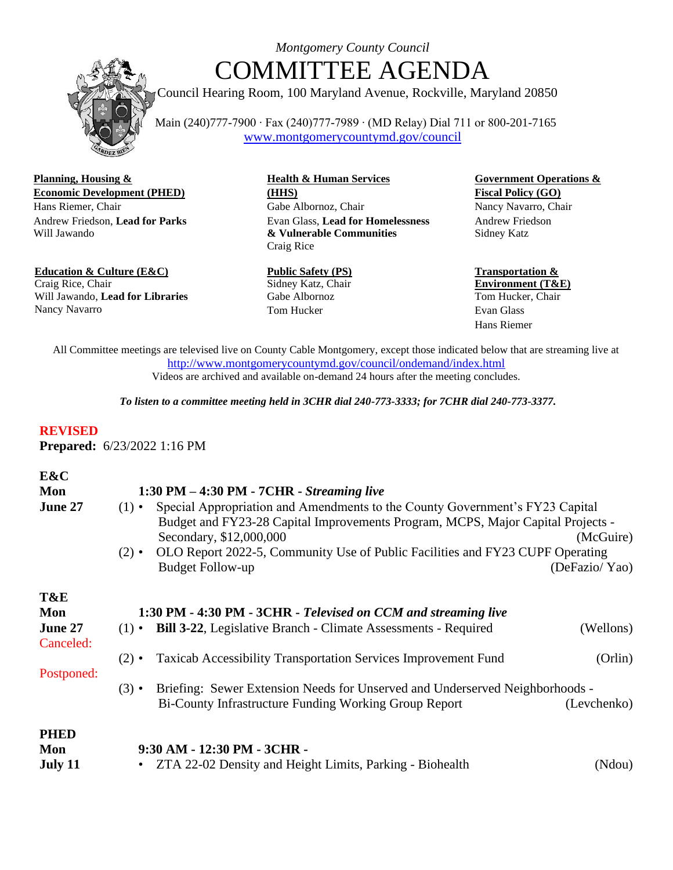

## *Montgomery County Council* COMMITTEE AGENDA

Council Hearing Room, 100 Maryland Avenue, Rockville, Maryland 20850

 Main (240)777-7900 ∙ Fax (240)777-7989 ∙ (MD Relay) Dial 711 or 800-201-7165 [www.montgomerycountymd.gov/council](about:blank)

**Planning, Housing & Health & Human Services Government Operations & Economic Development (PHED) (HHS) Fiscal Policy (GO)** Hans Riemer, Chair Gabe Albornoz, Chair Nancy Navarro, Chair Andrew Friedson, **Lead for Parks** Will Jawando

**Education & Culture (E&C)** Craig Rice, Chair Will Jawando, **Lead for Libraries** Nancy Navarro

Evan Glass, **Lead for Homelessness & Vulnerable Communities** Craig Rice

**Public Safety (PS)** Sidney Katz, Chair Gabe Albornoz Tom Hucker

Andrew Friedson Sidney Katz

**Transportation & Environment (T&E)** Tom Hucker, Chair Evan Glass Hans Riemer

All Committee meetings are televised live on County Cable Montgomery, except those indicated below that are streaming live at [http://www.montgomerycountymd.gov/council/ondemand/index.html](about:blank) Videos are archived and available on-demand 24 hours after the meeting concludes.

*To listen to a committee meeting held in 3CHR dial 240-773-3333; for 7CHR dial 240-773-3377.*

## **REVISED**

**Prepared:** 6/23/2022 1:16 PM

| E&C<br>Mon<br>June 27                            | $1:30$ PM $-$ 4:30 PM $-$ 7CHR $-$ <i>Streaming live</i><br>Special Appropriation and Amendments to the County Government's FY23 Capital<br>$(1) \cdot$<br>Budget and FY23-28 Capital Improvements Program, MCPS, Major Capital Projects -<br>Secondary, \$12,000,000<br>OLO Report 2022-5, Community Use of Public Facilities and FY23 CUPF Operating<br>$(2) \cdot$<br><b>Budget Follow-up</b> | (McGuire)<br>(DeFazio/Yao) |
|--------------------------------------------------|--------------------------------------------------------------------------------------------------------------------------------------------------------------------------------------------------------------------------------------------------------------------------------------------------------------------------------------------------------------------------------------------------|----------------------------|
| T&E<br>Mon<br>June 27<br>Canceled:<br>Postponed: | 1:30 PM - 4:30 PM - 3CHR - Televised on CCM and streaming live<br>(1) • Bill 3-22, Legislative Branch - Climate Assessments - Required<br><b>Taxicab Accessibility Transportation Services Improvement Fund</b><br>$(2) \cdot$                                                                                                                                                                   | (Wellons)<br>(Orlin)       |
| <b>PHED</b><br>Mon                               | Briefing: Sewer Extension Needs for Unserved and Underserved Neighborhoods -<br>$(3) \cdot$<br>Bi-County Infrastructure Funding Working Group Report<br>9:30 AM - 12:30 PM - 3CHR -                                                                                                                                                                                                              | (Levchenko)                |
| July 11                                          | • ZTA 22-02 Density and Height Limits, Parking - Biohealth                                                                                                                                                                                                                                                                                                                                       | (Ndou)                     |